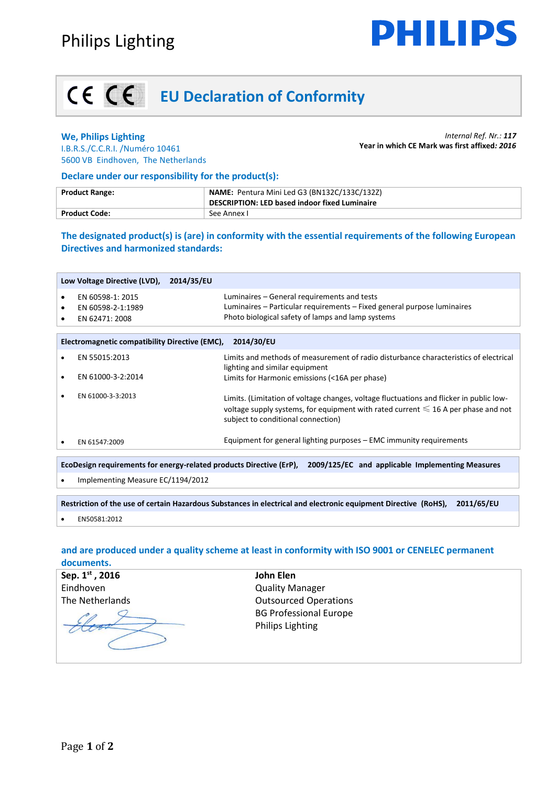

# **EU Declaration of Conformity**

### **We, Philips Lighting**

*Internal Ref. Nr.: 117* **Year in which CE Mark was first affixed***: 2016*

I.B.R.S./C.C.R.I. /Numéro 10461 5600 VB Eindhoven, The Netherlands

#### **Declare under our responsibility for the product(s):**

| <b>Product Range:</b> | <b>NAME:</b> Pentura Mini Led G3 (BN132C/133C/132Z)<br>DESCRIPTION: LED based indoor fixed Luminaire |
|-----------------------|------------------------------------------------------------------------------------------------------|
| <b>Product Code:</b>  | See Annex L                                                                                          |

**The designated product(s) is (are) in conformity with the essential requirements of the following European Directives and harmonized standards:**

|                                                                                                                      | Low Voltage Directive (LVD),                            | 2014/35/EU |                                                                                                                                                                                                                         |  |
|----------------------------------------------------------------------------------------------------------------------|---------------------------------------------------------|------------|-------------------------------------------------------------------------------------------------------------------------------------------------------------------------------------------------------------------------|--|
| ٠<br>٠<br>٠                                                                                                          | EN 60598-1: 2015<br>EN 60598-2-1:1989<br>EN 62471: 2008 |            | Luminaires – General requirements and tests<br>Luminaires – Particular requirements – Fixed general purpose luminaires<br>Photo biological safety of lamps and lamp systems                                             |  |
| <b>Electromagnetic compatibility Directive (EMC),</b><br>2014/30/EU                                                  |                                                         |            |                                                                                                                                                                                                                         |  |
|                                                                                                                      | EN 55015:2013                                           |            | Limits and methods of measurement of radio disturbance characteristics of electrical<br>lighting and similar equipment                                                                                                  |  |
| ٠                                                                                                                    | EN 61000-3-2:2014                                       |            | Limits for Harmonic emissions (<16A per phase)                                                                                                                                                                          |  |
|                                                                                                                      | EN 61000-3-3:2013                                       |            | Limits. (Limitation of voltage changes, voltage fluctuations and flicker in public low-<br>voltage supply systems, for equipment with rated current $\leq 16$ A per phase and not<br>subject to conditional connection) |  |
|                                                                                                                      | EN 61547:2009                                           |            | Equipment for general lighting purposes – EMC immunity requirements                                                                                                                                                     |  |
| EcoDesign requirements for energy-related products Directive (ErP), 2009/125/EC and applicable Implementing Measures |                                                         |            |                                                                                                                                                                                                                         |  |
| ٠                                                                                                                    | Implementing Measure EC/1194/2012                       |            |                                                                                                                                                                                                                         |  |
|                                                                                                                      |                                                         |            |                                                                                                                                                                                                                         |  |

**Restriction of the use of certain Hazardous Substances in electrical and electronic equipment Directive (RoHS), 2011/65/EU** 

**EN50581:2012** 

### **and are produced under a quality scheme at least in conformity with ISO 9001 or CENELEC permanent documents.**

| Sep. 1st, 2016  | John Elen                     |
|-----------------|-------------------------------|
| Eindhoven       | <b>Quality Manager</b>        |
| The Netherlands | <b>Outsourced Operations</b>  |
|                 | <b>BG Professional Europe</b> |
|                 | <b>Philips Lighting</b>       |
|                 |                               |
|                 |                               |